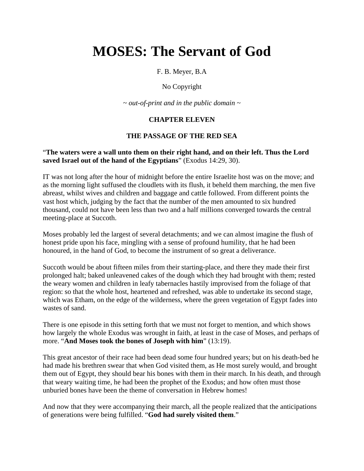# **MOSES: The Servant of God**

F. B. Meyer, B.A

# No Copyright

*~ out-of-print and in the public domain ~* 

# **CHAPTER ELEVEN**

#### **THE PASSAGE OF THE RED SEA**

#### "**The waters were a wall unto them on their right hand, and on their left. Thus the Lord saved Israel out of the hand of the Egyptians**" (Exodus 14:29, 30).

IT was not long after the hour of midnight before the entire Israelite host was on the move; and as the morning light suffused the cloudlets with its flush, it beheld them marching, the men five abreast, whilst wives and children and baggage and cattle followed. From different points the vast host which, judging by the fact that the number of the men amounted to six hundred thousand, could not have been less than two and a half millions converged towards the central meeting-place at Succoth.

Moses probably led the largest of several detachments; and we can almost imagine the flush of honest pride upon his face, mingling with a sense of profound humility, that he had been honoured, in the hand of God, to become the instrument of so great a deliverance.

Succoth would be about fifteen miles from their starting-place, and there they made their first prolonged halt; baked unleavened cakes of the dough which they had brought with them; rested the weary women and children in leafy tabernacles hastily improvised from the foliage of that region: so that the whole host, heartened and refreshed, was able to undertake its second stage, which was Etham, on the edge of the wilderness, where the green vegetation of Egypt fades into wastes of sand.

There is one episode in this setting forth that we must not forget to mention, and which shows how largely the whole Exodus was wrought in faith, at least in the case of Moses, and perhaps of more. "**And Moses took the bones of Joseph with him**" (13:19).

This great ancestor of their race had been dead some four hundred years; but on his death-bed he had made his brethren swear that when God visited them, as He most surely would, and brought them out of Egypt, they should bear his bones with them in their march. In his death, and through that weary waiting time, he had been the prophet of the Exodus; and how often must those unburied bones have been the theme of conversation in Hebrew homes!

And now that they were accompanying their march, all the people realized that the anticipations of generations were being fulfilled. "**God had surely visited them**."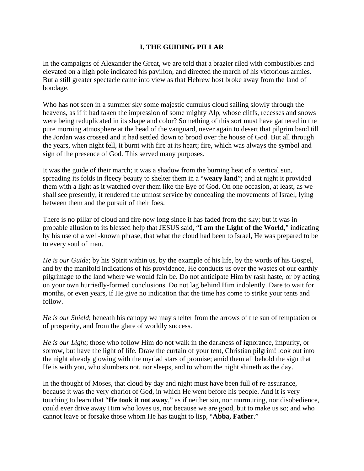# **I. THE GUIDING PILLAR**

In the campaigns of Alexander the Great, we are told that a brazier riled with combustibles and elevated on a high pole indicated his pavilion, and directed the march of his victorious armies. But a still greater spectacle came into view as that Hebrew host broke away from the land of bondage.

Who has not seen in a summer sky some majestic cumulus cloud sailing slowly through the heavens, as if it had taken the impression of some mighty Alp, whose cliffs, recesses and snows were being reduplicated in its shape and color? Something of this sort must have gathered in the pure morning atmosphere at the head of the vanguard, never again to desert that pilgrim band till the Jordan was crossed and it had settled down to brood over the house of God. But all through the years, when night fell, it burnt with fire at its heart; fire, which was always the symbol and sign of the presence of God. This served many purposes.

It was the guide of their march; it was a shadow from the burning heat of a vertical sun, spreading its folds in fleecy beauty to shelter them in a "**weary land**"; and at night it provided them with a light as it watched over them like the Eye of God. On one occasion, at least, as we shall see presently, it rendered the utmost service by concealing the movements of Israel, lying between them and the pursuit of their foes.

There is no pillar of cloud and fire now long since it has faded from the sky; but it was in probable allusion to its blessed help that JESUS said, "**I am the Light of the World**," indicating by his use of a well-known phrase, that what the cloud had been to Israel, He was prepared to be to every soul of man.

*He is our Guide*; by his Spirit within us, by the example of his life, by the words of his Gospel, and by the manifold indications of his providence, He conducts us over the wastes of our earthly pilgrimage to the land where we would fain be. Do not anticipate Him by rash haste, or by acting on your own hurriedly-formed conclusions. Do not lag behind Him indolently. Dare to wait for months, or even years, if He give no indication that the time has come to strike your tents and follow.

*He is our Shield*; beneath his canopy we may shelter from the arrows of the sun of temptation or of prosperity, and from the glare of worldly success.

*He is our Light*; those who follow Him do not walk in the darkness of ignorance, impurity, or sorrow, but have the light of life. Draw the curtain of your tent, Christian pilgrim! look out into the night already glowing with the myriad stars of promise; amid them all behold the sign that He is with you, who slumbers not, nor sleeps, and to whom the night shineth as the day.

In the thought of Moses, that cloud by day and night must have been full of re-assurance, because it was the very chariot of God, in which He went before his people. And it is very touching to learn that "**He took it not away**," as if neither sin, nor murmuring, nor disobedience, could ever drive away Him who loves us, not because we are good, but to make us so; and who cannot leave or forsake those whom He has taught to lisp, "**Abba, Father**."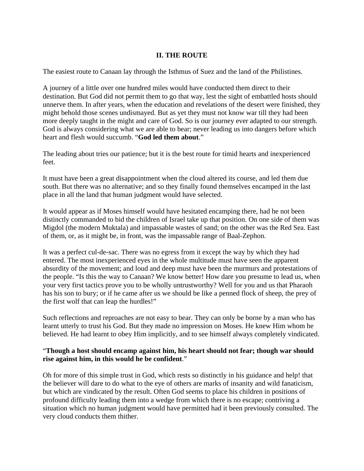#### **II. THE ROUTE**

The easiest route to Canaan lay through the Isthmus of Suez and the land of the Philistines.

A journey of a little over one hundred miles would have conducted them direct to their destination. But God did not permit them to go that way, lest the sight of embattled hosts should unnerve them. In after years, when the education and revelations of the desert were finished, they might behold those scenes undismayed. But as yet they must not know war till they had been more deeply taught in the might and care of God. So is our journey ever adapted to our strength. God is always considering what we are able to bear; never leading us into dangers before which heart and flesh would succumb. "**God led them about**."

The leading about tries our patience; but it is the best route for timid hearts and inexperienced feet.

It must have been a great disappointment when the cloud altered its course, and led them due south. But there was no alternative; and so they finally found themselves encamped in the last place in all the land that human judgment would have selected.

It would appear as if Moses himself would have hesitated encamping there, had he not been distinctly commanded to bid the children of Israel take up that position. On one side of them was Migdol (the modern Muktala) and impassable wastes of sand; on the other was the Red Sea. East of them, or, as it might be, in front, was the impassable range of Baal-Zephon.

It was a perfect cul-de-sac. There was no egress from it except the way by which they had entered. The most inexperienced eyes in the whole multitude must have seen the apparent absurdity of the movement; and loud and deep must have been the murmurs and protestations of the people. "Is this the way to Canaan? We know better! How dare you presume to lead us, when your very first tactics prove you to be wholly untrustworthy? Well for you and us that Pharaoh has his son to bury; or if he came after us we should be like a penned flock of sheep, the prey of the first wolf that can leap the hurdles!"

Such reflections and reproaches are not easy to bear. They can only be borne by a man who has learnt utterly to trust his God. But they made no impression on Moses. He knew Him whom he believed. He had learnt to obey Him implicitly, and to see himself always completely vindicated.

### "**Though a host should encamp against him, his heart should not fear; though war should rise against him, in this would he be confident**."

Oh for more of this simple trust in God, which rests so distinctly in his guidance and help! that the believer will dare to do what to the eye of others are marks of insanity and wild fanaticism, but which are vindicated by the result. Often God seems to place his children in positions of profound difficulty leading them into a wedge from which there is no escape; contriving a situation which no human judgment would have permitted had it been previously consulted. The very cloud conducts them thither.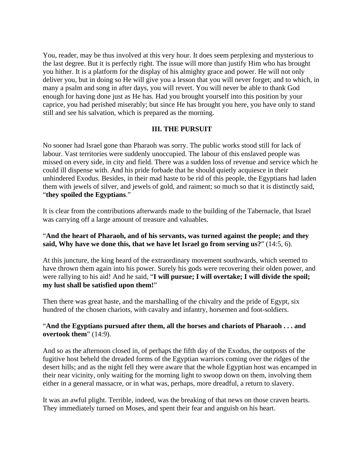You, reader, may be thus involved at this very hour. It does seem perplexing and mysterious to the last degree. But it is perfectly right. The issue will more than justify Him who has brought you hither. It is a platform for the display of his almighty grace and power. He will not only deliver you, but in doing so He will give you a lesson that you will never forget; and to which, in many a psalm and song in after days, you will revert. You will never be able to thank God enough for having done just as He has. Had you brought yourself into this position by your caprice, you had perished miserably; but since He has brought you here, you have only to stand still and see his salvation, which is prepared as the morning.

### **III. THE PURSUIT**

No sooner had Israel gone than Pharaoh was sorry. The public works stood still for lack of labour. Vast territories were suddenly unoccupied. The labour of this enslaved people was missed on every side, in city and field. There was a sudden loss of revenue and service which he could ill dispense with. And his pride forbade that he should quietly acquiesce in their unhindered Exodus. Besides, in their mad haste to be rid of this people, the Egyptians had laden them with jewels of silver, and jewels of gold, and raiment; so much so that it is distinctly said, "**they spoiled the Egyptians**."

It is clear from the contributions afterwards made to the building of the Tabernacle, that Israel was carrying off a large amount of treasure and valuables.

#### "**And the heart of Pharaoh, and of his servants, was turned against the people; and they said, Why have we done this, that we have let Israel go from serving us?**" (14:5, 6).

At this juncture, the king heard of the extraordinary movement southwards, which seemed to have thrown them again into his power. Surely his gods were recovering their olden power, and were rallying to his aid! And he said, "I will pursue; I will overtake; I will divide the spoil; **my lust shall be satisfied upon them!**"

Then there was great haste, and the marshalling of the chivalry and the pride of Egypt, six hundred of the chosen chariots, with cavalry and infantry, horsemen and foot-soldiers.

### "**And the Egyptians pursued after them, all the horses and chariots of Pharaoh . . . and overtook them**" (14:9).

And so as the afternoon closed in, of perhaps the fifth day of the Exodus, the outposts of the fugitive host beheld the dreaded forms of the Egyptian warriors coming over the ridges of the desert hills; and as the night fell they were aware that the whole Egyptian host was encamped in their near vicinity, only waiting for the morning light to swoop down on them, involving them either in a general massacre, or in what was, perhaps, more dreadful, a return to slavery.

It was an awful plight. Terrible, indeed, was the breaking of that news on those craven hearts. They immediately turned on Moses, and spent their fear and anguish on his heart.